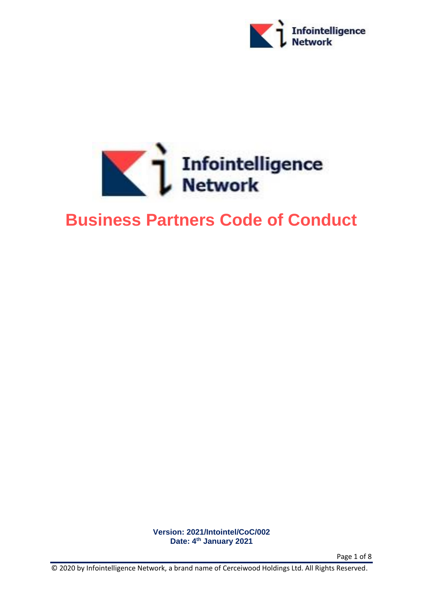



# **Business Partners Code of Conduct**

**Version: 2021/Intointel/CoC/002 Date: 4 th January 2021**

Page 1 of 8

© 2020 by Infointelligence Network, a brand name of Cerceiwood Holdings Ltd. All Rights Reserved.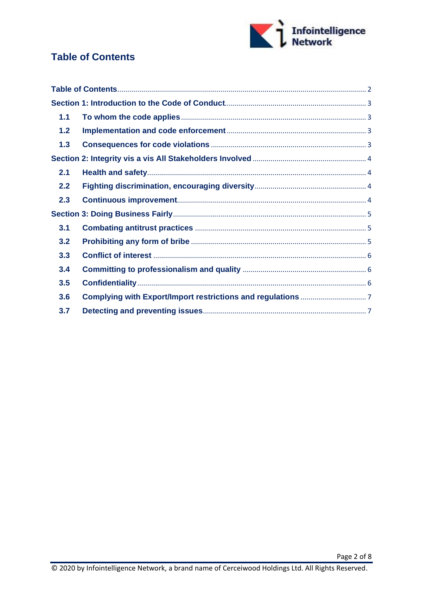

# <span id="page-1-0"></span>**Table of Contents**

| 1.1 |  |
|-----|--|
| 1.2 |  |
| 1.3 |  |
|     |  |
| 2.1 |  |
| 2.2 |  |
| 2.3 |  |
|     |  |
| 3.1 |  |
| 3.2 |  |
| 3.3 |  |
| 3.4 |  |
| 3.5 |  |
| 3.6 |  |
| 3.7 |  |
|     |  |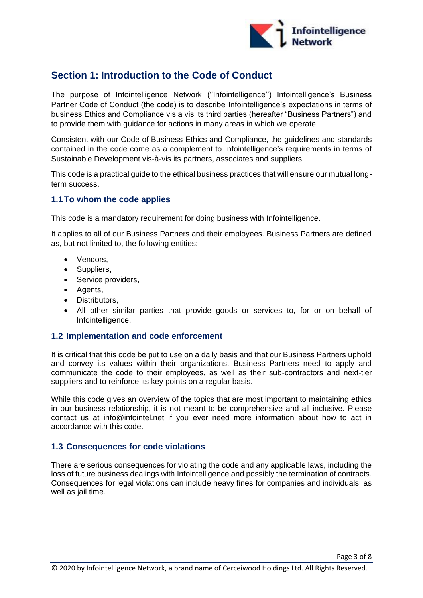

# <span id="page-2-0"></span>**Section 1: Introduction to the Code of Conduct**

The purpose of Infointelligence Network (''Infointelligence'') Infointelligence's Business Partner Code of Conduct (the code) is to describe Infointelligence's expectations in terms of business Ethics and Compliance vis a vis its third parties (hereafter "Business Partners") and to provide them with guidance for actions in many areas in which we operate.

Consistent with our Code of Business Ethics and Compliance, the guidelines and standards contained in the code come as a complement to Infointelligence's requirements in terms of Sustainable Development vis-à-vis its partners, associates and suppliers.

This code is a practical guide to the ethical business practices that will ensure our mutual longterm success.

# <span id="page-2-1"></span>**1.1To whom the code applies**

This code is a mandatory requirement for doing business with Infointelligence.

It applies to all of our Business Partners and their employees. Business Partners are defined as, but not limited to, the following entities:

- Vendors,
- Suppliers,
- Service providers,
- Agents,
- Distributors,
- All other similar parties that provide goods or services to, for or on behalf of Infointelligence.

#### <span id="page-2-2"></span>**1.2 Implementation and code enforcement**

It is critical that this code be put to use on a daily basis and that our Business Partners uphold and convey its values within their organizations. Business Partners need to apply and communicate the code to their employees, as well as their sub-contractors and next-tier suppliers and to reinforce its key points on a regular basis.

While this code gives an overview of the topics that are most important to maintaining ethics in our business relationship, it is not meant to be comprehensive and all-inclusive. Please contact us at info@infointel.net if you ever need more information about how to act in accordance with this code.

#### <span id="page-2-3"></span>**1.3 Consequences for code violations**

There are serious consequences for violating the code and any applicable laws, including the loss of future business dealings with Infointelligence and possibly the termination of contracts. Consequences for legal violations can include heavy fines for companies and individuals, as well as jail time.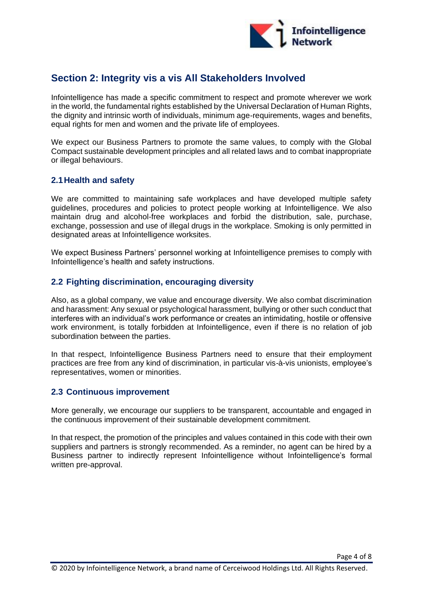

# <span id="page-3-0"></span>**Section 2: Integrity vis a vis All Stakeholders Involved**

Infointelligence has made a specific commitment to respect and promote wherever we work in the world, the fundamental rights established by the Universal Declaration of Human Rights, the dignity and intrinsic worth of individuals, minimum age-requirements, wages and benefits, equal rights for men and women and the private life of employees.

We expect our Business Partners to promote the same values, to comply with the Global Compact sustainable development principles and all related laws and to combat inappropriate or illegal behaviours.

# <span id="page-3-1"></span>**2.1Health and safety**

We are committed to maintaining safe workplaces and have developed multiple safety guidelines, procedures and policies to protect people working at Infointelligence. We also maintain drug and alcohol-free workplaces and forbid the distribution, sale, purchase, exchange, possession and use of illegal drugs in the workplace. Smoking is only permitted in designated areas at Infointelligence worksites.

We expect Business Partners' personnel working at Infointelligence premises to comply with Infointelligence's health and safety instructions.

# <span id="page-3-2"></span>**2.2 Fighting discrimination, encouraging diversity**

Also, as a global company, we value and encourage diversity. We also combat discrimination and harassment: Any sexual or psychological harassment, bullying or other such conduct that interferes with an individual's work performance or creates an intimidating, hostile or offensive work environment, is totally forbidden at Infointelligence, even if there is no relation of job subordination between the parties.

In that respect, Infointelligence Business Partners need to ensure that their employment practices are free from any kind of discrimination, in particular vis-à-vis unionists, employee's representatives, women or minorities.

#### <span id="page-3-3"></span>**2.3 Continuous improvement**

More generally, we encourage our suppliers to be transparent, accountable and engaged in the continuous improvement of their sustainable development commitment.

In that respect, the promotion of the principles and values contained in this code with their own suppliers and partners is strongly recommended. As a reminder, no agent can be hired by a Business partner to indirectly represent Infointelligence without Infointelligence's formal written pre-approval.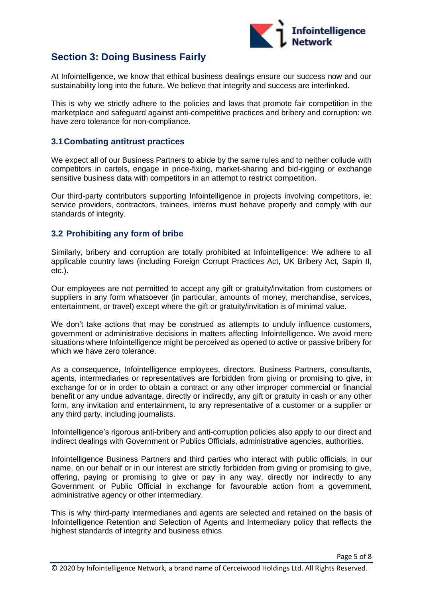

# <span id="page-4-0"></span>**Section 3: Doing Business Fairly**

At Infointelligence, we know that ethical business dealings ensure our success now and our sustainability long into the future. We believe that integrity and success are interlinked.

This is why we strictly adhere to the policies and laws that promote fair competition in the marketplace and safeguard against anti-competitive practices and bribery and corruption: we have zero tolerance for non-compliance.

#### <span id="page-4-1"></span>**3.1Combating antitrust practices**

We expect all of our Business Partners to abide by the same rules and to neither collude with competitors in cartels, engage in price-fixing, market-sharing and bid-rigging or exchange sensitive business data with competitors in an attempt to restrict competition.

Our third-party contributors supporting Infointelligence in projects involving competitors, ie: service providers, contractors, trainees, interns must behave properly and comply with our standards of integrity.

#### <span id="page-4-2"></span>**3.2 Prohibiting any form of bribe**

Similarly, bribery and corruption are totally prohibited at Infointelligence: We adhere to all applicable country laws (including Foreign Corrupt Practices Act, UK Bribery Act, Sapin II, etc.).

Our employees are not permitted to accept any gift or gratuity/invitation from customers or suppliers in any form whatsoever (in particular, amounts of money, merchandise, services, entertainment, or travel) except where the gift or gratuity/invitation is of minimal value.

We don't take actions that may be construed as attempts to unduly influence customers, government or administrative decisions in matters affecting Infointelligence. We avoid mere situations where Infointelligence might be perceived as opened to active or passive bribery for which we have zero tolerance.

As a consequence, Infointelligence employees, directors, Business Partners, consultants, agents, intermediaries or representatives are forbidden from giving or promising to give, in exchange for or in order to obtain a contract or any other improper commercial or financial benefit or any undue advantage, directly or indirectly, any gift or gratuity in cash or any other form, any invitation and entertainment, to any representative of a customer or a supplier or any third party, including journalists.

Infointelligence's rigorous anti-bribery and anti-corruption policies also apply to our direct and indirect dealings with Government or Publics Officials, administrative agencies, authorities.

Infointelligence Business Partners and third parties who interact with public officials, in our name, on our behalf or in our interest are strictly forbidden from giving or promising to give, offering, paying or promising to give or pay in any way, directly nor indirectly to any Government or Public Official in exchange for favourable action from a government, administrative agency or other intermediary.

This is why third-party intermediaries and agents are selected and retained on the basis of Infointelligence Retention and Selection of Agents and Intermediary policy that reflects the highest standards of integrity and business ethics.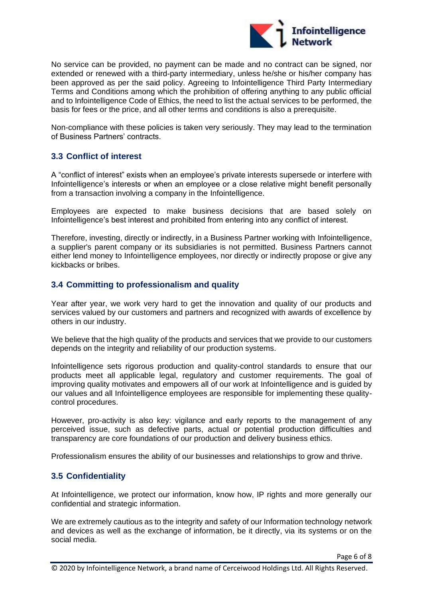

No service can be provided, no payment can be made and no contract can be signed, nor extended or renewed with a third-party intermediary, unless he/she or his/her company has been approved as per the said policy. Agreeing to Infointelligence Third Party Intermediary Terms and Conditions among which the prohibition of offering anything to any public official and to Infointelligence Code of Ethics, the need to list the actual services to be performed, the basis for fees or the price, and all other terms and conditions is also a prerequisite.

Non-compliance with these policies is taken very seriously. They may lead to the termination of Business Partners' contracts.

# <span id="page-5-0"></span>**3.3 Conflict of interest**

A "conflict of interest" exists when an employee's private interests supersede or interfere with Infointelligence's interests or when an employee or a close relative might benefit personally from a transaction involving a company in the Infointelligence.

Employees are expected to make business decisions that are based solely on Infointelligence's best interest and prohibited from entering into any conflict of interest.

Therefore, investing, directly or indirectly, in a Business Partner working with Infointelligence, a supplier's parent company or its subsidiaries is not permitted. Business Partners cannot either lend money to Infointelligence employees, nor directly or indirectly propose or give any kickbacks or bribes.

# <span id="page-5-1"></span>**3.4 Committing to professionalism and quality**

Year after year, we work very hard to get the innovation and quality of our products and services valued by our customers and partners and recognized with awards of excellence by others in our industry.

We believe that the high quality of the products and services that we provide to our customers depends on the integrity and reliability of our production systems.

Infointelligence sets rigorous production and quality-control standards to ensure that our products meet all applicable legal, regulatory and customer requirements. The goal of improving quality motivates and empowers all of our work at Infointelligence and is guided by our values and all Infointelligence employees are responsible for implementing these qualitycontrol procedures.

However, pro-activity is also key: vigilance and early reports to the management of any perceived issue, such as defective parts, actual or potential production difficulties and transparency are core foundations of our production and delivery business ethics.

Professionalism ensures the ability of our businesses and relationships to grow and thrive.

# <span id="page-5-2"></span>**3.5 Confidentiality**

At Infointelligence, we protect our information, know how, IP rights and more generally our confidential and strategic information.

We are extremely cautious as to the integrity and safety of our Information technology network and devices as well as the exchange of information, be it directly, via its systems or on the social media.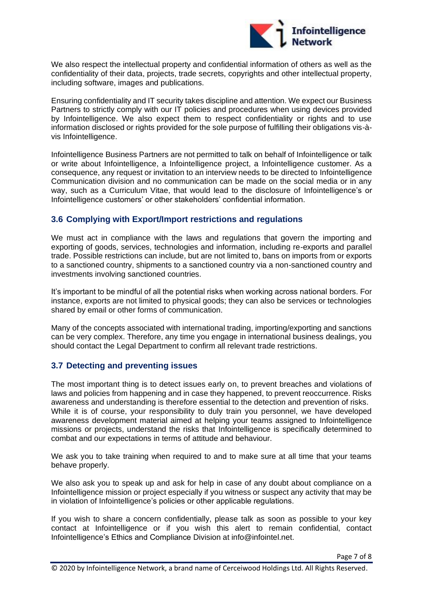

We also respect the intellectual property and confidential information of others as well as the confidentiality of their data, projects, trade secrets, copyrights and other intellectual property, including software, images and publications.

Ensuring confidentiality and IT security takes discipline and attention. We expect our Business Partners to strictly comply with our IT policies and procedures when using devices provided by Infointelligence. We also expect them to respect confidentiality or rights and to use information disclosed or rights provided for the sole purpose of fulfilling their obligations vis-àvis Infointelligence.

Infointelligence Business Partners are not permitted to talk on behalf of Infointelligence or talk or write about Infointelligence, a Infointelligence project, a Infointelligence customer. As a consequence, any request or invitation to an interview needs to be directed to Infointelligence Communication division and no communication can be made on the social media or in any way, such as a Curriculum Vitae, that would lead to the disclosure of Infointelligence's or Infointelligence customers' or other stakeholders' confidential information.

# <span id="page-6-0"></span>**3.6 Complying with Export/Import restrictions and regulations**

We must act in compliance with the laws and regulations that govern the importing and exporting of goods, services, technologies and information, including re-exports and parallel trade. Possible restrictions can include, but are not limited to, bans on imports from or exports to a sanctioned country, shipments to a sanctioned country via a non-sanctioned country and investments involving sanctioned countries.

It's important to be mindful of all the potential risks when working across national borders. For instance, exports are not limited to physical goods; they can also be services or technologies shared by email or other forms of communication.

Many of the concepts associated with international trading, importing/exporting and sanctions can be very complex. Therefore, any time you engage in international business dealings, you should contact the Legal Department to confirm all relevant trade restrictions.

# <span id="page-6-1"></span>**3.7 Detecting and preventing issues**

The most important thing is to detect issues early on, to prevent breaches and violations of laws and policies from happening and in case they happened, to prevent reoccurrence. Risks awareness and understanding is therefore essential to the detection and prevention of risks. While it is of course, your responsibility to duly train you personnel, we have developed awareness development material aimed at helping your teams assigned to Infointelligence missions or projects, understand the risks that Infointelligence is specifically determined to combat and our expectations in terms of attitude and behaviour.

We ask you to take training when required to and to make sure at all time that your teams behave properly.

We also ask you to speak up and ask for help in case of any doubt about compliance on a Infointelligence mission or project especially if you witness or suspect any activity that may be in violation of Infointelligence's policies or other applicable regulations.

If you wish to share a concern confidentially, please talk as soon as possible to your key contact at Infointelligence or if you wish this alert to remain confidential, contact Infointelligence's Ethics and Compliance Division at info@infointel.net.